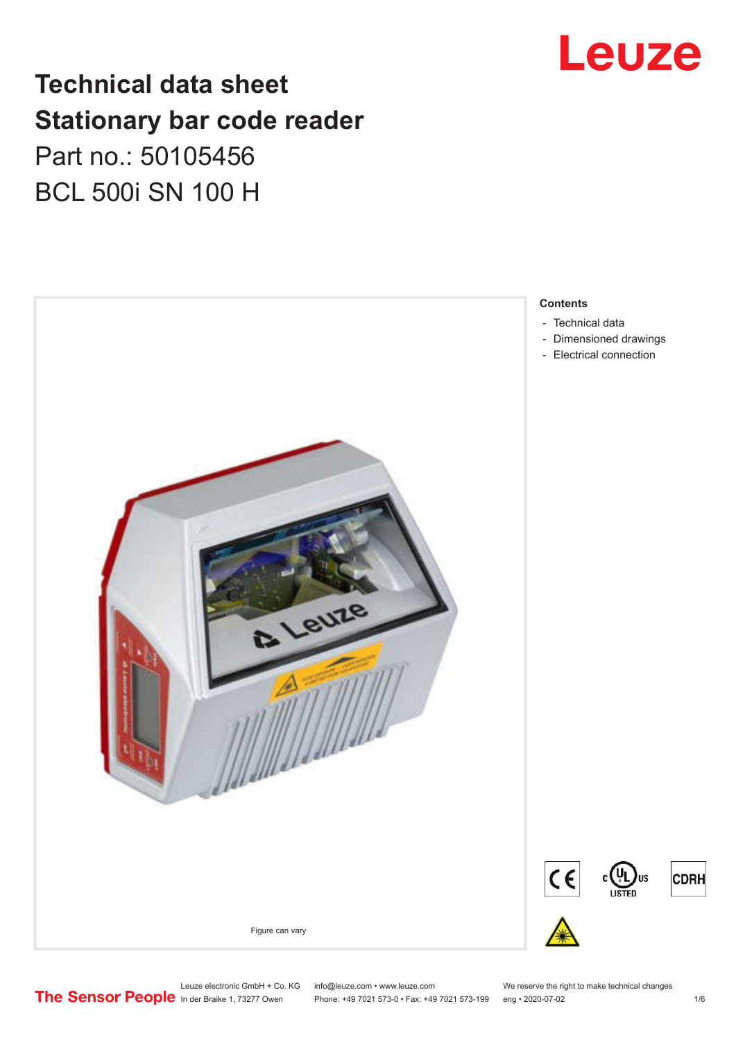

## **Technical data sheet Stationary bar code reader** Part no.: 50105456 BCL 500i SN 100 H



#### **Contents**

- 
- [Dimensioned drawings](#page-3-0)
- [Electrical connection](#page-3-0)

Leuze electronic GmbH + Co. KG info@leuze.com • www.leuze.com We reserve the right to make technical changes<br>
The Sensor People in der Braike 1, 73277 Owen Phone: +49 7021 573-0 • Fax: +49 7021 573-199 eng • 2020-07-02 Phone: +49 7021 573-0 • Fax: +49 7021 573-199 eng • 2020-07-02 1 76

**CDRH**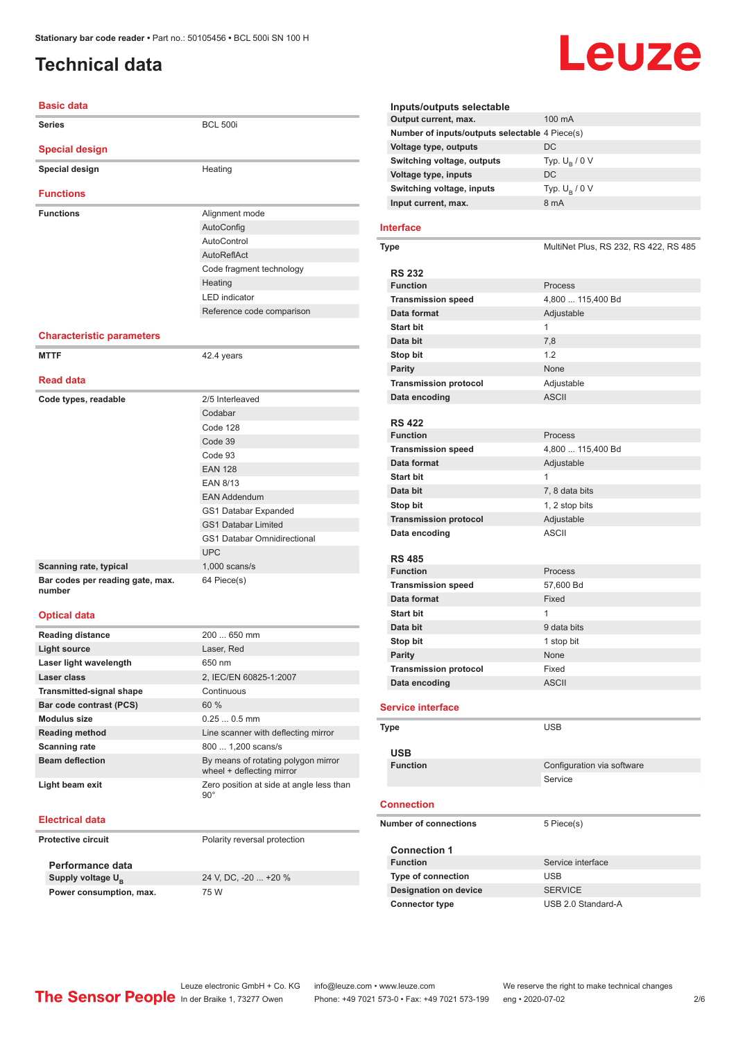## <span id="page-1-0"></span>**Technical data**

# Leuze

| <b>Basic data</b>                |                                                                                       |
|----------------------------------|---------------------------------------------------------------------------------------|
| <b>Series</b>                    | <b>BCL 500i</b>                                                                       |
| <b>Special design</b>            |                                                                                       |
| Special design                   | Heating                                                                               |
| <b>Functions</b>                 |                                                                                       |
| <b>Functions</b>                 | Alignment mode                                                                        |
|                                  | AutoConfig                                                                            |
|                                  | AutoControl                                                                           |
|                                  | AutoReflAct                                                                           |
|                                  | Code fragment technology                                                              |
|                                  | Heating                                                                               |
|                                  | <b>LED</b> indicator                                                                  |
|                                  | Reference code comparison                                                             |
|                                  |                                                                                       |
| <b>Characteristic parameters</b> |                                                                                       |
| <b>MTTF</b>                      | 42.4 years                                                                            |
| <b>Read data</b>                 |                                                                                       |
| Code types, readable             | 2/5 Interleaved                                                                       |
|                                  | Codabar                                                                               |
|                                  | Code 128                                                                              |
|                                  | Code 39                                                                               |
|                                  | Code 93                                                                               |
|                                  | <b>EAN 128</b>                                                                        |
|                                  | <b>EAN 8/13</b>                                                                       |
|                                  | <b>EAN Addendum</b>                                                                   |
|                                  | GS1 Databar Expanded                                                                  |
|                                  | <b>GS1 Databar Limited</b>                                                            |
|                                  | <b>GS1 Databar Omnidirectional</b>                                                    |
|                                  | <b>UPC</b>                                                                            |
| Scanning rate, typical           | $1,000$ scans/s                                                                       |
| Bar codes per reading gate, max. | 64 Piece(s)                                                                           |
| number                           |                                                                                       |
| <b>Optical data</b>              |                                                                                       |
| <b>Reading distance</b>          | 200  650 mm                                                                           |
| <b>Light source</b>              | Laser, Red                                                                            |
| Laser light wavelength           | 650 nm                                                                                |
| Laser class                      | 2, IEC/EN 60825-1:2007                                                                |
| Transmitted-signal shape         | Continuous                                                                            |
| Bar code contrast (PCS)          | 60 %                                                                                  |
| <b>Modulus size</b>              | $0.250.5$ mm                                                                          |
| <b>Reading method</b>            | Line scanner with deflecting mirror                                                   |
| Scanning rate                    | 800  1,200 scans/s                                                                    |
| <b>Beam deflection</b>           | By means of rotating polygon mirror                                                   |
| Light beam exit                  | wheel + deflecting mirror<br>Zero position at side at angle less than<br>$90^{\circ}$ |

#### **Electrical data**

| Protective circuit      | Polarity reversal protection |
|-------------------------|------------------------------|
| Performance data        |                              |
| Supply voltage $U_{B}$  | 24 V, DC, -20  +20 %         |
| Power consumption, max. | 75 W                         |

| Inputs/outputs selectable                      |                        |
|------------------------------------------------|------------------------|
| Output current, max.                           | $100 \text{ mA}$       |
| Number of inputs/outputs selectable 4 Piece(s) |                        |
| Voltage type, outputs                          | DC                     |
| Switching voltage, outputs                     | Typ. $U_{\rm B}$ / 0 V |
| Voltage type, inputs                           | DC                     |
| Switching voltage, inputs                      | Typ. $U_{\rm B}$ / 0 V |
| Input current, max.                            | 8 mA                   |

#### **Interface**

| <b>Type</b>                  | MultiNet Plus, RS 232, RS 422, RS 485 |
|------------------------------|---------------------------------------|
| <b>RS 232</b>                |                                       |
| <b>Function</b>              | Process                               |
| <b>Transmission speed</b>    | 4,800  115,400 Bd                     |
| Data format                  | Adjustable                            |
| <b>Start bit</b>             | $\mathbf{1}$                          |
| Data bit                     | 7,8                                   |
| Stop bit                     | 1.2                                   |
| <b>Parity</b>                | None                                  |
| <b>Transmission protocol</b> | Adjustable                            |
| Data encoding                | <b>ASCII</b>                          |
|                              |                                       |
| <b>RS 422</b>                |                                       |
| <b>Function</b>              | Process                               |
| <b>Transmission speed</b>    | 4,800  115,400 Bd                     |
| Data format                  | Adjustable                            |
| <b>Start bit</b>             | $\mathbf{1}$                          |
| Data bit                     | 7, 8 data bits                        |
| Stop bit                     | 1, 2 stop bits                        |
| <b>Transmission protocol</b> | Adjustable                            |
| Data encoding                | <b>ASCII</b>                          |
|                              |                                       |
| <b>RS 485</b>                |                                       |
| <b>Function</b>              | Process                               |
| <b>Transmission speed</b>    | 57,600 Bd                             |
| Data format                  | Fixed                                 |
| <b>Start bit</b>             | $\mathbf{1}$                          |
| Data bit                     | 9 data bits                           |
| Stop bit                     | 1 stop bit                            |
| <b>Parity</b>                | None                                  |
| <b>Transmission protocol</b> | Fixed                                 |
| Data encoding                | <b>ASCII</b>                          |
| <b>Service interface</b>     |                                       |
|                              |                                       |
| <b>Type</b>                  | <b>USB</b>                            |
|                              |                                       |
| USB<br><b>Function</b>       | Configuration via software            |
|                              | Service                               |
|                              |                                       |
| <b>Connection</b>            |                                       |
| <b>Number of connections</b> |                                       |
|                              | 5 Piece(s)                            |
| <b>Connection 1</b>          |                                       |
| <b>Function</b>              | Service interface                     |
| <b>Type of connection</b>    | <b>USB</b>                            |
| <b>Designation on device</b> | <b>SERVICE</b>                        |
| <b>Connector type</b>        | USB 2.0 Standard-A                    |
|                              |                                       |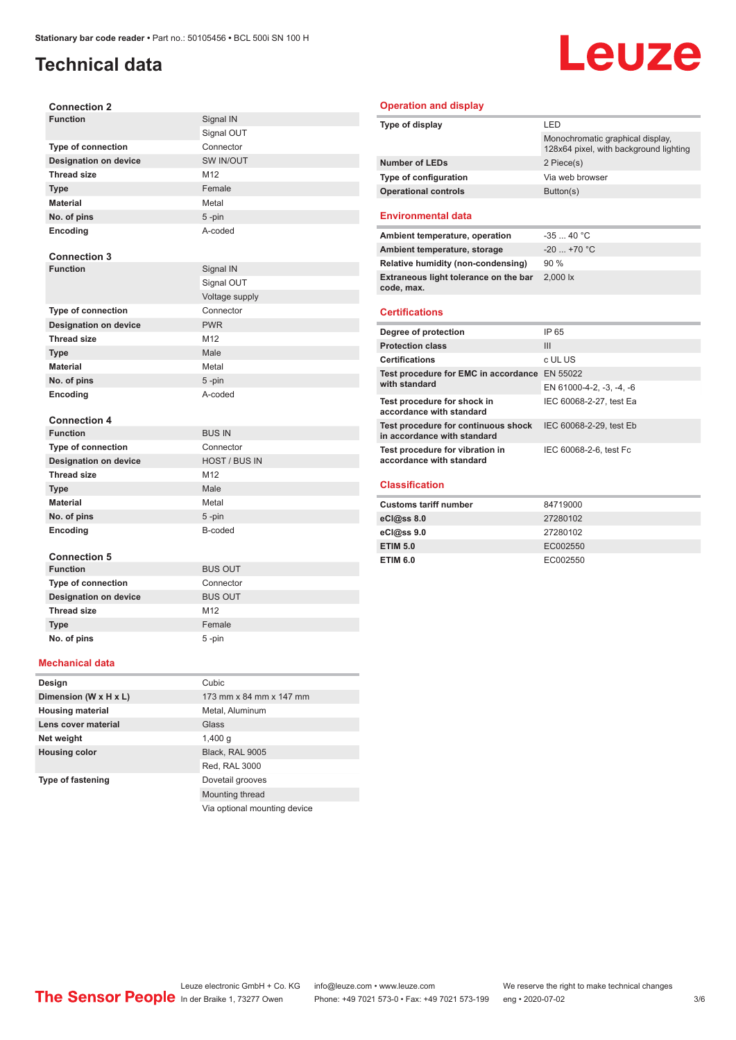## **Technical data**

## Leuze

| <b>Connection 2</b>          |                      |
|------------------------------|----------------------|
| <b>Function</b>              | Signal IN            |
|                              | Signal OUT           |
| Type of connection           | Connector            |
| <b>Designation on device</b> | SW IN/OUT            |
| <b>Thread size</b>           | M12                  |
| <b>Type</b>                  | Female               |
| <b>Material</b>              | Metal                |
| No. of pins                  | 5-pin                |
| Encoding                     | A-coded              |
|                              |                      |
| <b>Connection 3</b>          |                      |
| <b>Function</b>              | Signal IN            |
|                              | Signal OUT           |
|                              | Voltage supply       |
| <b>Type of connection</b>    | Connector            |
| <b>Designation on device</b> | <b>PWR</b>           |
| <b>Thread size</b>           | M12                  |
| <b>Type</b>                  | Male                 |
| <b>Material</b>              | Metal                |
| No. of pins                  | $5 - pin$            |
| Encoding                     | A-coded              |
|                              |                      |
| <b>Connection 4</b>          |                      |
| <b>Function</b>              | <b>BUS IN</b>        |
| <b>Type of connection</b>    | Connector            |
| <b>Designation on device</b> | <b>HOST / BUS IN</b> |
| <b>Thread size</b>           | M12                  |
| <b>Type</b>                  | Male                 |
| <b>Material</b>              | Metal                |
| No. of pins                  | $5 - pin$            |
| Encoding                     | B-coded              |
|                              |                      |
| <b>Connection 5</b>          |                      |
| <b>Function</b>              | <b>BUS OUT</b>       |
| Type of connection           | Connector            |
| <b>Designation on device</b> | <b>BUS OUT</b>       |
| <b>Thread size</b>           | M12                  |
| <b>Type</b>                  | Female               |
| No. of pins                  | 5-pin                |

#### **Operation and display**

| Type of display                                                    | LED                                                                        |
|--------------------------------------------------------------------|----------------------------------------------------------------------------|
|                                                                    | Monochromatic graphical display,<br>128x64 pixel, with background lighting |
| <b>Number of LEDs</b>                                              | 2 Piece(s)                                                                 |
| <b>Type of configuration</b>                                       | Via web browser                                                            |
| <b>Operational controls</b>                                        | Button(s)                                                                  |
| <b>Environmental data</b>                                          |                                                                            |
| Ambient temperature, operation                                     | $-3540 °C$                                                                 |
| Ambient temperature, storage                                       | $-20$ +70 °C                                                               |
| Relative humidity (non-condensing)                                 | 90%                                                                        |
| Extraneous light tolerance on the bar<br>code, max.                | 2.000 lx                                                                   |
|                                                                    |                                                                            |
| <b>Certifications</b>                                              |                                                                            |
| Degree of protection                                               | IP 65                                                                      |
| <b>Protection class</b>                                            | III                                                                        |
| <b>Certifications</b>                                              | c UL US                                                                    |
| Test procedure for EMC in accordance EN 55022                      |                                                                            |
| with standard                                                      | EN 61000-4-2, -3, -4, -6                                                   |
| Test procedure for shock in<br>accordance with standard            | IEC 60068-2-27, test Ea                                                    |
| Test procedure for continuous shock<br>in accordance with standard | IEC 60068-2-29, test Eb                                                    |
| Test procedure for vibration in<br>accordance with standard        | IEC 60068-2-6, test Fc                                                     |
| <b>Classification</b>                                              |                                                                            |

| <b>Customs tariff number</b> | 84719000 |
|------------------------------|----------|
| $eC$ <sub>0</sub> $e$ ss 8.0 | 27280102 |
| $eC/\omega$ ss 9.0           | 27280102 |
| <b>ETIM 5.0</b>              | EC002550 |
| <b>ETIM 6.0</b>              | EC002550 |

#### **Mechanical data**

| Design                   | Cubic                        |
|--------------------------|------------------------------|
| Dimension (W x H x L)    | 173 mm x 84 mm x 147 mm      |
| <b>Housing material</b>  | Metal, Aluminum              |
| Lens cover material      | Glass                        |
| Net weight               | $1,400$ q                    |
| <b>Housing color</b>     | Black, RAL 9005              |
|                          | Red, RAL 3000                |
| <b>Type of fastening</b> | Dovetail grooves             |
|                          | Mounting thread              |
|                          | Via optional mounting device |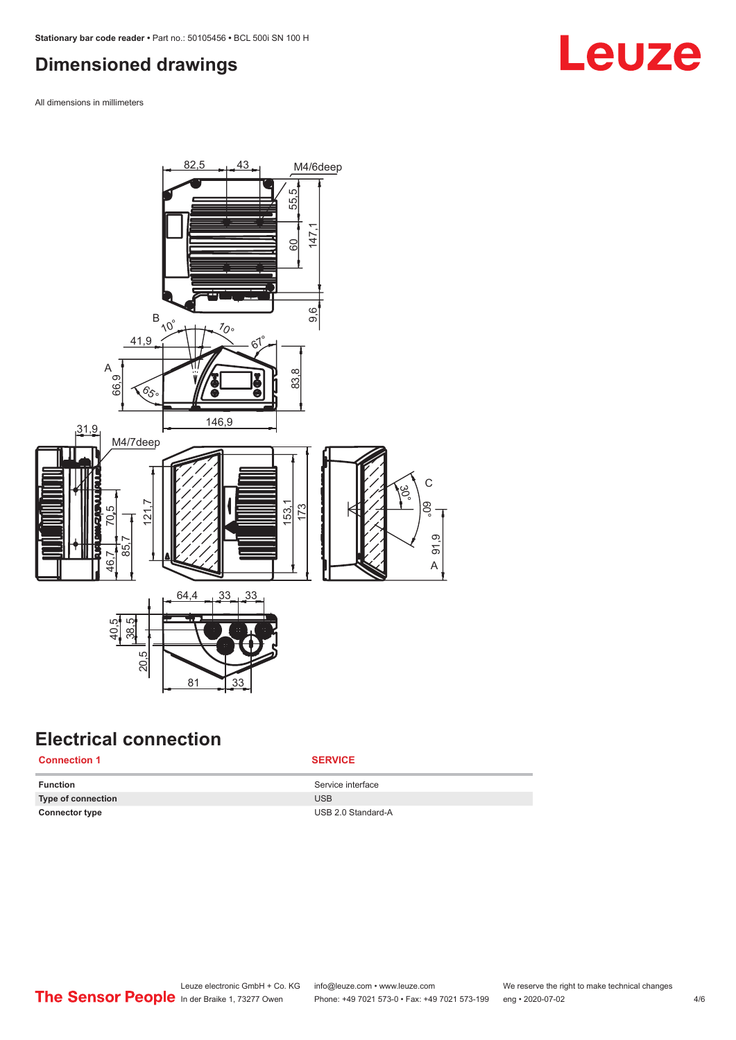### <span id="page-3-0"></span>**Dimensioned drawings**

All dimensions in millimeters



### **Electrical connection**

#### **Connection 1 SERVICE**

**Function** Service interface **Type of connection** USB **Connector type** USB 2.0 Standard-A

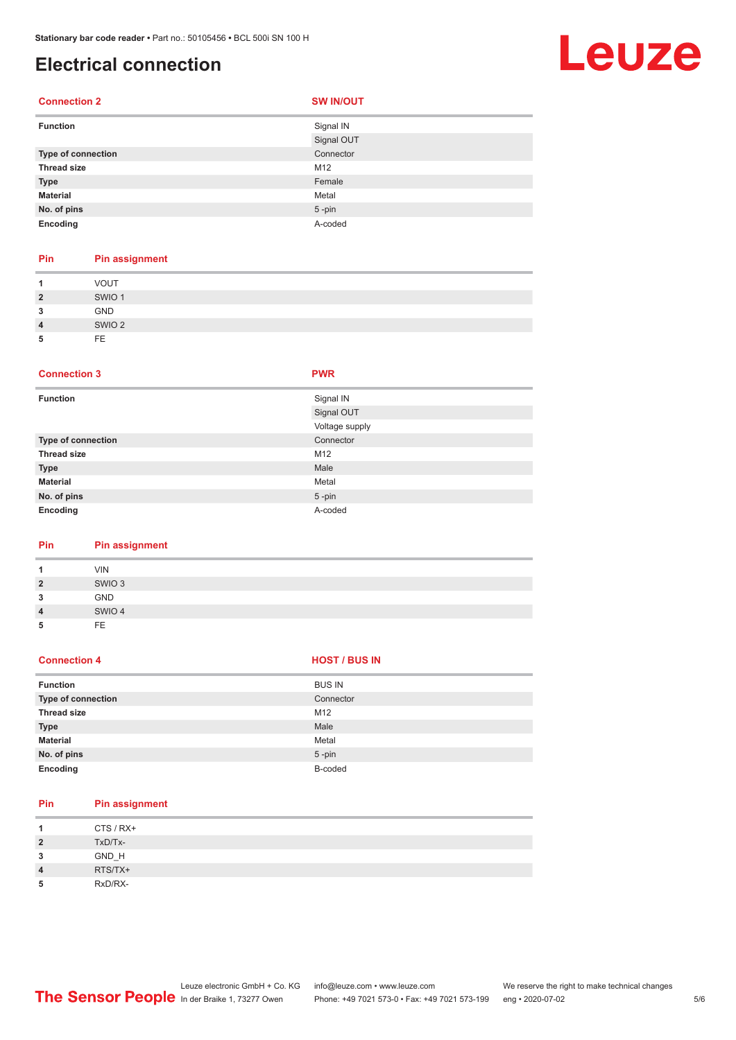**Connection 2 SW IN/OUT** 

### **Electrical connection**

## Leuze

#### **Function** Signal IN Signal OUT **Type of connection** Connection Connector **Thread size** M12 **Type** Female **Material** Metal **No. of pins** 5 -pin **Encoding** A-coded

| Pin            | Pin assignment    |
|----------------|-------------------|
| 1              | <b>VOUT</b>       |
| $\overline{2}$ | SWIO <sub>1</sub> |
| 3              | <b>GND</b>        |
| $\overline{4}$ | SWIO <sub>2</sub> |
| 5              | FE.               |

#### **Connection 3 PWR**

| <b>Function</b>    | Signal IN      |
|--------------------|----------------|
|                    | Signal OUT     |
|                    | Voltage supply |
| Type of connection | Connector      |
| <b>Thread size</b> | M12            |
| <b>Type</b>        | Male           |
| <b>Material</b>    | Metal          |
| No. of pins        | $5$ -pin       |
| Encoding           | A-coded        |

#### **Pin Pin assignment**

| 4              | <b>VIN</b>        |
|----------------|-------------------|
| $\overline{2}$ | SWIO <sub>3</sub> |
| 3              | GND               |
| $\overline{4}$ | SWIO 4            |
| 5              | FF                |

#### **Connection 4 HOST** / BUS IN

| <b>Function</b>    | <b>BUS IN</b> |
|--------------------|---------------|
| Type of connection | Connector     |
| <b>Thread size</b> | M12           |
| <b>Type</b>        | Male          |
| <b>Material</b>    | Metal         |
| No. of pins        | $5 - pin$     |
| Encoding           | B-coded       |

| Pin            | <b>Pin assignment</b> |
|----------------|-----------------------|
| 1              | CTS / RX+             |
| $\overline{2}$ | TxD/Tx-               |
| 3              | GND_H                 |
| $\overline{4}$ | RTS/TX+               |
| 5              | RxD/RX-               |